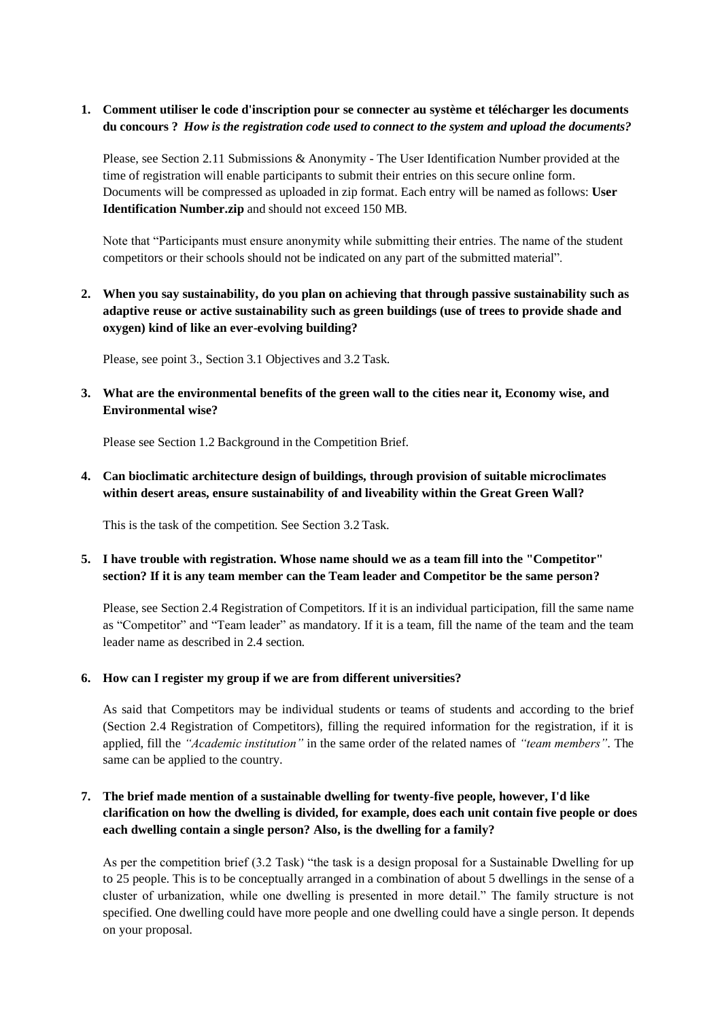## **1. Comment utiliser le code d'inscription pour se connecter au système et télécharger les documents du concours ?** *How is the registration code used to connect to the system and upload the documents?*

Please, see Section 2.11 Submissions & Anonymity - The User Identification Number provided at the time of registration will enable participants to submit their entries on this secure online form. Documents will be compressed as uploaded in zip format. Each entry will be named as follows: **User Identification Number.zip** and should not exceed 150 MB.

Note that "Participants must ensure anonymity while submitting their entries. The name of the student competitors or their schools should not be indicated on any part of the submitted material".

**2. When you say sustainability, do you plan on achieving that through passive sustainability such as adaptive reuse or active sustainability such as green buildings (use of trees to provide shade and oxygen) kind of like an ever-evolving building?**

Please, see point 3., Section 3.1 Objectives and 3.2 Task.

**3. What are the environmental benefits of the green wall to the cities near it, Economy wise, and Environmental wise?**

Please see Section 1.2 Background in the Competition Brief.

**4. Can bioclimatic architecture design of buildings, through provision of suitable microclimates within desert areas, ensure sustainability of and liveability within the Great Green Wall?**

This is the task of the competition. See Section 3.2 Task.

### **5. I have trouble with registration. Whose name should we as a team fill into the "Competitor" section? If it is any team member can the Team leader and Competitor be the same person?**

Please, see Section 2.4 Registration of Competitors. If it is an individual participation, fill the same name as "Competitor" and "Team leader" as mandatory. If it is a team, fill the name of the team and the team leader name as described in 2.4 section.

### **6. How can I register my group if we are from different universities?**

As said that Competitors may be individual students or teams of students and according to the brief (Section 2.4 Registration of Competitors), filling the required information for the registration, if it is applied, fill the *"Academic institution"* in the same order of the related names of *"team members"*. The same can be applied to the country.

# **7. The brief made mention of a sustainable dwelling for twenty-five people, however, I'd like clarification on how the dwelling is divided, for example, does each unit contain five people or does each dwelling contain a single person? Also, is the dwelling for a family?**

As per the competition brief (3.2 Task) "the task is a design proposal for a Sustainable Dwelling for up to 25 people. This is to be conceptually arranged in a combination of about 5 dwellings in the sense of a cluster of urbanization, while one dwelling is presented in more detail." The family structure is not specified. One dwelling could have more people and one dwelling could have a single person. It depends on your proposal.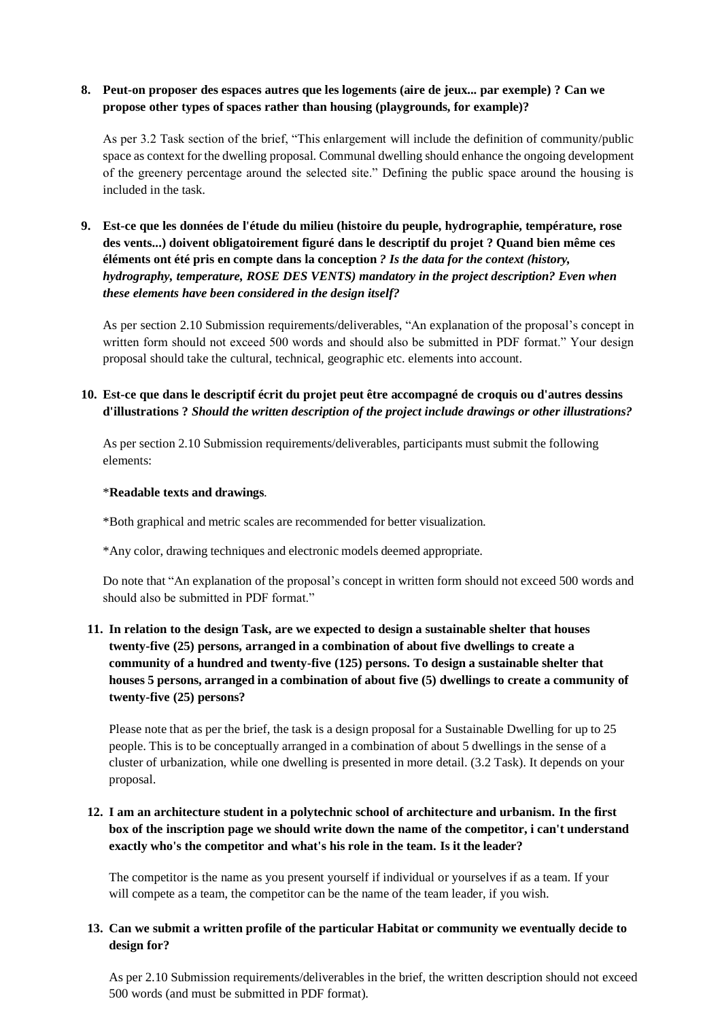## **8. Peut-on proposer des espaces autres que les logements (aire de jeux... par exemple) ? Can we propose other types of spaces rather than housing (playgrounds, for example)?**

As per 3.2 Task section of the brief, "This enlargement will include the definition of community/public space as context for the dwelling proposal. Communal dwelling should enhance the ongoing development of the greenery percentage around the selected site." Defining the public space around the housing is included in the task.

**9. Est-ce que les données de l'étude du milieu (histoire du peuple, hydrographie, température, rose des vents...) doivent obligatoirement figuré dans le descriptif du projet ? Quand bien même ces éléments ont été pris en compte dans la conception** *? Is the data for the context (history, hydrography, temperature, ROSE DES VENTS) mandatory in the project description? Even when these elements have been considered in the design itself?*

As per section 2.10 Submission requirements/deliverables, "An explanation of the proposal's concept in written form should not exceed 500 words and should also be submitted in PDF format." Your design proposal should take the cultural, technical, geographic etc. elements into account.

# **10. Est-ce que dans le descriptif écrit du projet peut être accompagné de croquis ou d'autres dessins d'illustrations ?** *Should the written description of the project include drawings or other illustrations?*

As per section 2.10 Submission requirements/deliverables, participants must submit the following elements:

#### \***Readable texts and drawings**.

\*Both graphical and metric scales are recommended for better visualization.

\*Any color, drawing techniques and electronic models deemed appropriate.

Do note that "An explanation of the proposal's concept in written form should not exceed 500 words and should also be submitted in PDF format."

# **11. In relation to the design Task, are we expected to design a sustainable shelter that houses twenty-five (25) persons, arranged in a combination of about five dwellings to create a community of a hundred and twenty-five (125) persons. To design a sustainable shelter that houses 5 persons, arranged in a combination of about five (5) dwellings to create a community of twenty-five (25) persons?**

Please note that as per the brief, the task is a design proposal for a Sustainable Dwelling for up to 25 people. This is to be conceptually arranged in a combination of about 5 dwellings in the sense of a cluster of urbanization, while one dwelling is presented in more detail. (3.2 Task). It depends on your proposal.

## **12. I am an architecture student in a polytechnic school of architecture and urbanism. In the first box of the inscription page we should write down the name of the competitor, i can't understand exactly who's the competitor and what's his role in the team. Is it the leader?**

The competitor is the name as you present yourself if individual or yourselves if as a team. If your will compete as a team, the competitor can be the name of the team leader, if you wish.

### **13. Can we submit a written profile of the particular Habitat or community we eventually decide to design for?**

As per 2.10 Submission requirements/deliverables in the brief, the written description should not exceed 500 words (and must be submitted in PDF format).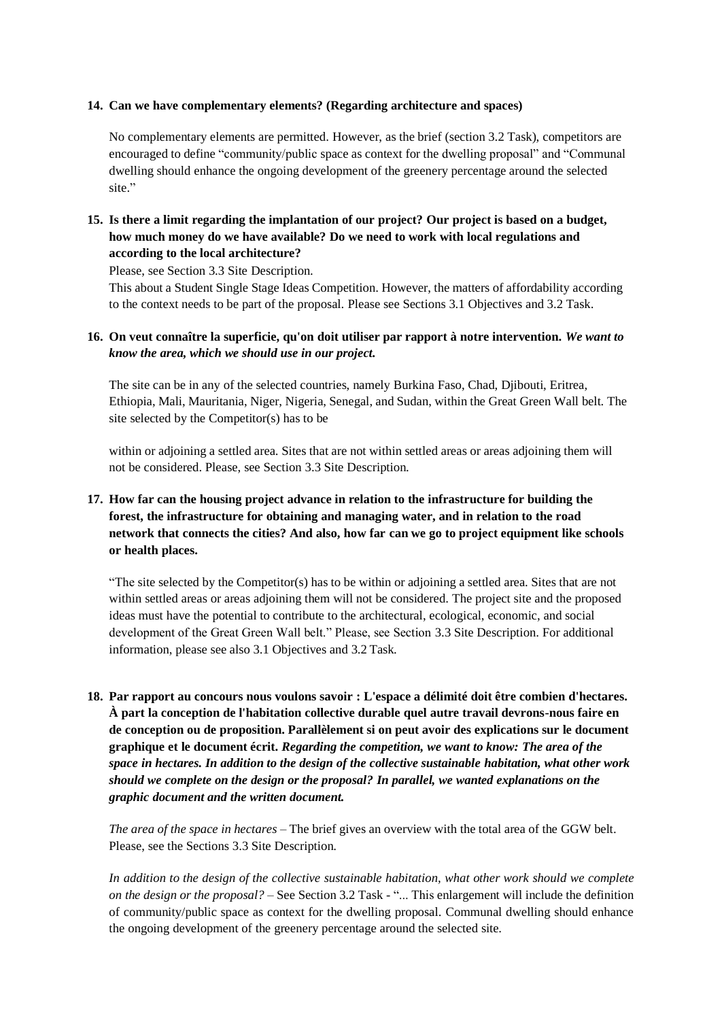#### **14. Can we have complementary elements? (Regarding architecture and spaces)**

No complementary elements are permitted. However, as the brief (section 3.2 Task), competitors are encouraged to define "community/public space as context for the dwelling proposal" and "Communal dwelling should enhance the ongoing development of the greenery percentage around the selected site."

# **15. Is there a limit regarding the implantation of our project? Our project is based on a budget, how much money do we have available? Do we need to work with local regulations and according to the local architecture?**

Please, see Section 3.3 Site Description.

This about a Student Single Stage Ideas Competition. However, the matters of affordability according to the context needs to be part of the proposal. Please see Sections 3.1 Objectives and 3.2 Task.

### **16. On veut connaître la superficie, qu'on doit utiliser par rapport à notre intervention.** *We want to know the area, which we should use in our project.*

The site can be in any of the selected countries, namely Burkina Faso, Chad, Djibouti, Eritrea, Ethiopia, Mali, Mauritania, Niger, Nigeria, Senegal, and Sudan, within the Great Green Wall belt. The site selected by the Competitor(s) has to be

within or adjoining a settled area. Sites that are not within settled areas or areas adjoining them will not be considered. Please, see Section 3.3 Site Description.

# **17. How far can the housing project advance in relation to the infrastructure for building the forest, the infrastructure for obtaining and managing water, and in relation to the road network that connects the cities? And also, how far can we go to project equipment like schools or health places.**

"The site selected by the Competitor(s) has to be within or adjoining a settled area. Sites that are not within settled areas or areas adjoining them will not be considered. The project site and the proposed ideas must have the potential to contribute to the architectural, ecological, economic, and social development of the Great Green Wall belt." Please, see Section 3.3 Site Description. For additional information, please see also 3.1 Objectives and 3.2 Task.

**18. Par rapport au concours nous voulons savoir : L'espace a délimité doit être combien d'hectares. À part la conception de l'habitation collective durable quel autre travail devrons-nous faire en de conception ou de proposition. Parallèlement si on peut avoir des explications sur le document graphique et le document écrit.** *Regarding the competition, we want to know: The area of the space in hectares. In addition to the design of the collective sustainable habitation, what other work should we complete on the design or the proposal? In parallel, we wanted explanations on the graphic document and the written document.*

*The area of the space in hectares* – The brief gives an overview with the total area of the GGW belt. Please, see the Sections 3.3 Site Description.

In addition to the design of the collective sustainable habitation, what other work should we complete *on the design or the proposal?* – See Section 3.2 Task - "... This enlargement will include the definition of community/public space as context for the dwelling proposal. Communal dwelling should enhance the ongoing development of the greenery percentage around the selected site.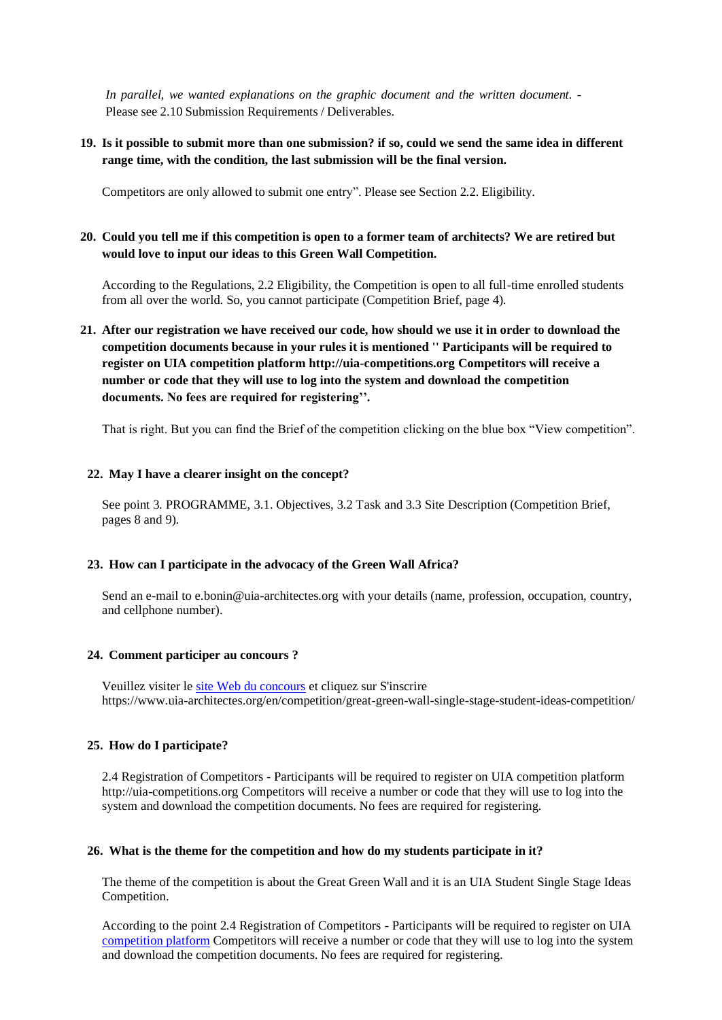*In parallel, we wanted explanations on the graphic document and the written document. -* Please see 2.10 Submission Requirements / Deliverables.

### **19. Is it possible to submit more than one submission? if so, could we send the same idea in different range time, with the condition, the last submission will be the final version.**

Competitors are only allowed to submit one entry". Please see Section 2.2. Eligibility.

### **20. Could you tell me if this competition is open to a former team of architects? We are retired but would love to input our ideas to this Green Wall Competition.**

According to the Regulations, 2.2 Eligibility, the Competition is open to all full-time enrolled students from all over the world. So, you cannot participate (Competition Brief, page 4).

**21. After our registration we have received our code, how should we use it in order to download the competition documents because in your rules it is mentioned '' Participants will be required to register on UIA competition platform [http://uia-competitions.org C](http://uia-competitions.org/)ompetitors will receive a number or code that they will use to log into the system and download the competition documents. No fees are required for registering''.**

That is right. But you can find the Brief of the competition clicking on the blue box "View competition".

#### **22. May I have a clearer insight on the concept?**

See point 3. PROGRAMME, 3.1. Objectives, 3.2 Task and 3.3 Site Description (Competition Brief, pages 8 and 9).

#### **23. How can I participate in the advocacy of the Green Wall Africa?**

Send an e-mail t[o e.bonin@uia-architectes.org w](mailto:e.bonin@uia-architectes.org)ith your details (name, profession, occupation, country, and cellphone number).

#### **24. Comment participer au concours ?**

Veuillez visiter l[e site Web du concours](https://www.uia-architectes.org/en/competition/great-green-wall-single-stage-student-ideas-competition/) et cliquez sur S'inscrire <https://www.uia-architectes.org/en/competition/great-green-wall-single-stage-student-ideas-competition/>

#### **25. How do I participate?**

2.4 Registration of Competitors - Participants will be required to register on UIA competition platform [http://uia-competitions.org C](http://uia-competitions.org/)ompetitors will receive a number or code that they will use to log into the system and download the competition documents. No fees are required for registering.

#### **26. What is the theme for the competition and how do my students participate in it?**

The theme of the competition is about the Great Green Wall and it is an UIA Student Single Stage Ideas Competition.

According to the point 2.4 Registration of Competitors - Participants will be required to register on UIA [competition platform](http://uia-competitions.org/) Competitors will receive a number or code that they will use to log into the system and download the competition documents. No fees are required for registering.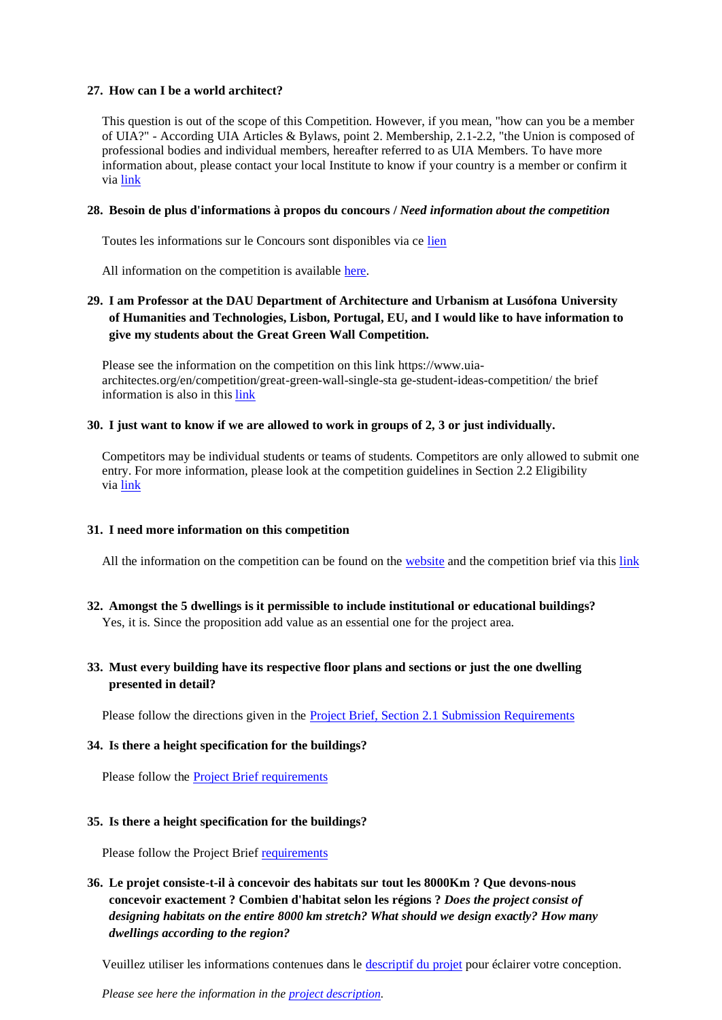#### **27. How can I be a world architect?**

This question is out of the scope of this Competition. However, if you mean, "how can you be a member of UIA?" - According UIA Articles & Bylaws, point 2. Membership, 2.1-2.2, "the Union is composed of professional bodies and individual members, hereafter referred to as UIA Members. To have more information about, please contact your local Institute to know if your country is a member or confirm it vi[a link](https://www.uia-architectes.org/en/about/member-sections/)

#### **28. Besoin de plus d'informations à propos du concours /** *Need information about the competition*

Toutes les informations sur le Concours sont disponibles via ce [lien](https://www.uia-architectes.org/en/competition/great-green-wall-single-stage-student-ideas-competition/)

All information on the competition is available [here.](https://www.uia-architectes.org/wp-content/uploads/2022/04/Great-Green-Wall_Brief.pdf)

## **29. I am Professor at the DAU Department of Architecture and Urbanism at Lusófona University of Humanities and Technologies, Lisbon, Portugal, EU, and I would like to have information to give my students about the Great Green Wall Competition.**

Please see the information on the competition on this lin[k https://www.uia](https://www.uia-architectes.org/en/competition/great-green-wall-single-stage-student-ideas-competition/)[architectes.org/en/competition/great-green-wall-single-sta](https://www.uia-architectes.org/en/competition/great-green-wall-single-stage-student-ideas-competition/) [ge-student-ideas-competition/ t](https://www.uia-architectes.org/en/competition/great-green-wall-single-stage-student-ideas-competition/)he brief information is also in this [link](https://www.uia-architectes.org/wp-content/uploads/2022/04/Great-Green-Wall_Brief.pdf)

#### **30. I just want to know if we are allowed to work in groups of 2, 3 or just individually.**

Competitors may be individual students or teams of students. Competitors are only allowed to submit one entry. For more information, please look at the competition guidelines in Section 2.2 Eligibility vi[a link](https://www.uia-architectes.org/wp-content/uploads/2022/04/Great-Green-Wall_Brief.pdf)

### **31. I need more information on this competition**

All the information on the competition can be found on the [website](https://www.uia-architectes.org/en/competition/great-green-wall-single-stage-student-ideas-competition/) and the competition brief via this [link](https://www.uia-architectes.org/wp-content/uploads/2022/04/Great-Green-Wall_Brief.pdf)

**32. Amongst the 5 dwellings is it permissible to include institutional or educational buildings?** Yes, it is. Since the proposition add value as an essential one for the project area.

### **33. Must every building have its respective floor plans and sections or just the one dwelling presented in detail?**

Please follow the directions given in the [Project Brief, Section 2.1 Submission Requirements](https://www.uia-architectes.org/wp-content/uploads/2022/04/Great-Green-Wall_Brief.pdf)

### **34. Is there a height specification for the buildings?**

Please follow the [Project Brief requirements](https://www.uia-architectes.org/wp-content/uploads/2022/04/Great-Green-Wall_Brief.pdf)

### **35. Is there a height specification for the buildings?**

Please follow the Project Brie[f requirements](https://www.uia-architectes.org/wp-content/uploads/2022/04/Great-Green-Wall_Brief.pdf)

# **36. Le projet consiste-t-il à concevoir des habitats sur tout les 8000Km ? Que devons-nous concevoir exactement ? Combien d'habitat selon les régions ?** *Does the project consist of designing habitats on the entire 8000 km stretch? What should we design exactly? How many dwellings according to the region?*

Veuillez utiliser les informations contenues dans le [descriptif du projet](https://www.uia-architectes.org/wp-content/uploads/2022/04/Grande-Muraille-Verte_Reglement.pdf) pour éclairer votre conception.

*Please see here the information in the [project description.](https://www.uia-architectes.org/wp-content/uploads/2022/04/Great-Green-Wall_Brief.pdf)*